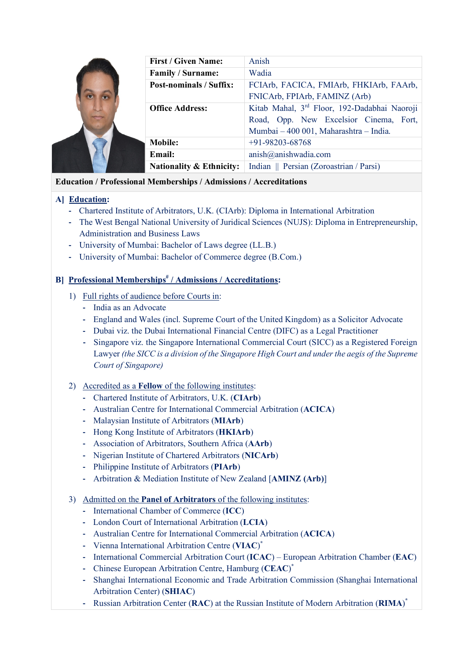|  | <b>First / Given Name:</b>     | Anish                                        |
|--|--------------------------------|----------------------------------------------|
|  | Family / Surname:              | Wadia                                        |
|  | <b>Post-nominals / Suffix:</b> | FCIArb, FACICA, FMIArb, FHKIArb, FAArb,      |
|  |                                | FNICArb, FPIArb, FAMINZ (Arb)                |
|  | <b>Office Address:</b>         | Kitab Mahal, 3rd Floor, 192-Dadabhai Naoroji |
|  |                                | Road, Opp. New Excelsior Cinema, Fort,       |
|  |                                | Mumbai - 400 001, Maharashtra - India.       |
|  | <b>Mobile:</b>                 | $+91-98203-68768$                            |
|  | <b>Email:</b>                  | anish@anishwadia.com                         |
|  | Nationality & Ethnicity:       | Indian    Persian (Zoroastrian / Parsi)      |

## **Education / Professional Memberships / Admissions / Accreditations**

# **A] Education:**

- **-** Chartered Institute of Arbitrators, U.K. (CIArb): Diploma in International Arbitration
- **-** The West Bengal National University of Juridical Sciences (NUJS): Diploma in Entrepreneurship, Administration and Business Laws
- **-** University of Mumbai: Bachelor of Laws degree (LL.B.)
- **-** University of Mumbai: Bachelor of Commerce degree (B.Com.)

# **B] Professional Memberships# / Admissions / Accreditations:**

- 1) Full rights of audience before Courts in:
	- **-** India as an Advocate
	- **-** England and Wales (incl. Supreme Court of the United Kingdom) as a Solicitor Advocate
	- **-** Dubai viz. the Dubai International Financial Centre (DIFC) as a Legal Practitioner
	- **-** Singapore viz. the Singapore International Commercial Court (SICC) as a Registered Foreign Lawyer *(the SICC is a division of the Singapore High Court and under the aegis of the Supreme Court of Singapore)*

## 2) Accredited as a **Fellow** of the following institutes:

- **-** Chartered Institute of Arbitrators, U.K. (**CIArb**)
- **-** Australian Centre for International Commercial Arbitration (**ACICA**)
- **-** Malaysian Institute of Arbitrators (**MIArb**)
- **-** Hong Kong Institute of Arbitrators (**HKIArb**)
- **-** Association of Arbitrators, Southern Africa (**AArb**)
- **-** Nigerian Institute of Chartered Arbitrators (**NICArb**)
- **-** Philippine Institute of Arbitrators (**PIArb**)
- **-** Arbitration & Mediation Institute of New Zealand [**AMINZ (Arb)**]
- 3) Admitted on the **Panel of Arbitrators** of the following institutes:
	- **-** International Chamber of Commerce (**ICC**)
	- **-** London Court of International Arbitration (**LCIA**)
	- **-** Australian Centre for International Commercial Arbitration (**ACICA**)
	- **-** Vienna International Arbitration Centre (**VIAC**) **\***
	- **-** International Commercial Arbitration Court (**ICAC**) European Arbitration Chamber (**EAC**)
	- **-** Chinese European Arbitration Centre, Hamburg (**CEAC**) **\***
	- **-** Shanghai International Economic and Trade Arbitration Commission (Shanghai International Arbitration Center) (**SHIAC**)
	- **-** Russian Arbitration Center (**RAC**) at the Russian Institute of Modern Arbitration (**RIMA**) **\***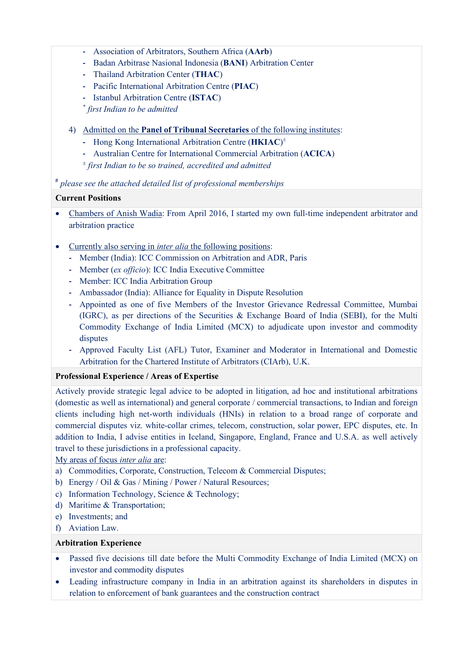- **-** Association of Arbitrators, Southern Africa (**AArb**)
- **-** Badan Arbitrase Nasional Indonesia (**BANI**) Arbitration Center
- **-** Thailand Arbitration Center (**THAC**)
- **-** Pacific International Arbitration Centre (**PIAC**)
- **-** Istanbul Arbitration Centre (**ISTAC**)

*\* first Indian to be admitted*

- 4) Admitted on the **Panel of Tribunal Secretaries** of the following institutes:
	- **-** Hong Kong International Arbitration Centre (**HKIAC**) ±
	- **-** Australian Centre for International Commercial Arbitration (**ACICA**)
	- <sup>±</sup> *first Indian to be so trained, accredited and admitted*

**#** *please see the attached detailed list of professional memberships*

### **Current Positions**

- Chambers of Anish Wadia: From April 2016, I started my own full-time independent arbitrator and arbitration practice
- Currently also serving in *inter alia* the following positions:
	- **-** Member (India): ICC Commission on Arbitration and ADR, Paris
	- **-** Member (*ex officio*): ICC India Executive Committee
	- **-** Member: ICC India Arbitration Group
	- **-** Ambassador (India): Alliance for Equality in Dispute Resolution
	- **-** Appointed as one of five Members of the Investor Grievance Redressal Committee, Mumbai (IGRC), as per directions of the Securities & Exchange Board of India (SEBI), for the Multi Commodity Exchange of India Limited (MCX) to adjudicate upon investor and commodity disputes
	- **-** Approved Faculty List (AFL) Tutor, Examiner and Moderator in International and Domestic Arbitration for the Chartered Institute of Arbitrators (CIArb), U.K.

#### **Professional Experience / Areas of Expertise**

Actively provide strategic legal advice to be adopted in litigation, ad hoc and institutional arbitrations (domestic as well as international) and general corporate / commercial transactions, to Indian and foreign clients including high net-worth individuals (HNIs) in relation to a broad range of corporate and commercial disputes viz. white-collar crimes, telecom, construction, solar power, EPC disputes, etc. In addition to India, I advise entities in Iceland, Singapore, England, France and U.S.A. as well actively travel to these jurisdictions in a professional capacity.

My areas of focus *inter alia* are:

- a) Commodities, Corporate, Construction, Telecom & Commercial Disputes;
- b) Energy / Oil & Gas / Mining / Power / Natural Resources;
- c) Information Technology, Science & Technology;
- d) Maritime & Transportation;
- e) Investments; and
- f) Aviation Law.

#### **Arbitration Experience**

- Passed five decisions till date before the Multi Commodity Exchange of India Limited (MCX) on investor and commodity disputes
- Leading infrastructure company in India in an arbitration against its shareholders in disputes in relation to enforcement of bank guarantees and the construction contract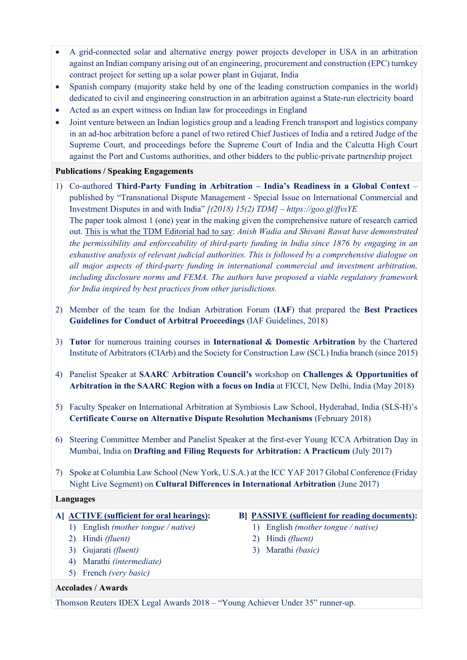- A grid-connected solar and alternative energy power projects developer in USA in an arbitration against an Indian company arising out of an engineering, procurement and construction (EPC) turnkey contract project for setting up a solar power plant in Gujarat, India
- Spanish company (majority stake held by one of the leading construction companies in the world) dedicated to civil and engineering construction in an arbitration against a State-run electricity board
- Acted as an expert witness on Indian law for proceedings in England
- Joint venture between an Indian logistics group and a leading French transport and logistics company in an ad-hoc arbitration before a panel of two retired Chief Justices of India and a retired Judge of the Supreme Court, and proceedings before the Supreme Court of India and the Calcutta High Court against the Port and Customs authorities, and other bidders to the public-private partnership project

## **Publications / Speaking Engagements**

- 1) Co-authored **Third-Party Funding in Arbitration – India's Readiness in a Global Context** published by "Transnational Dispute Management - Special Issue on International Commercial and Investment Disputes in and with India" *[(2018) 15(2) TDM] – https://goo.gl/ffvsYE* The paper took almost 1 (one) year in the making given the comprehensive nature of research carried out. This is what the TDM Editorial had to say: *Anish Wadia and Shivani Rawat have demonstrated the permissibility and enforceability of third-party funding in India since 1876 by engaging in an exhaustive analysis of relevant judicial authorities. This is followed by a comprehensive dialogue on all major aspects of third-party funding in international commercial and investment arbitration, including disclosure norms and FEMA. The authors have proposed a viable regulatory framework for India inspired by best practices from other jurisdictions.*
- 2) Member of the team for the Indian Arbitration Forum (**IAF**) that prepared the **Best Practices Guidelines for Conduct of Arbitral Proceedings** (IAF Guidelines, 2018)
- 3) **Tutor** for numerous training courses in **International & Domestic Arbitration** by the Chartered Institute of Arbitrators (CIArb) and the Society for Construction Law (SCL) India branch (since 2015)
- 4) Panelist Speaker at **SAARC Arbitration Council's** workshop on **Challenges & Opportunities of Arbitration in the SAARC Region with a focus on India** at FICCI, New Delhi, India (May 2018)
- 5) Faculty Speaker on International Arbitration at Symbiosis Law School, Hyderabad, India (SLS-H)'s **Certificate Course on Alternative Dispute Resolution Mechanisms** (February 2018)
- 6) Steering Committee Member and Panelist Speaker at the first-ever Young ICCA Arbitration Day in Mumbai, India on **Drafting and Filing Requests for Arbitration: A Practicum** (July 2017)
- 7) Spoke at Columbia Law School (New York, U.S.A.) at the ICC YAF 2017 Global Conference (Friday Night Live Segment) on **Cultural Differences in International Arbitration** (June 2017)

## **Languages**

- 1) English *(mother tongue / native)* 1) English *(mother tongue / native)*
- 2) Hindi *(fluent)* 2) Hindi *(fluent)*
- 3) Gujarati *(fluent)* 3) Marathi *(basic)*
- 4) Marathi *(intermediate)*
- 5) French *(very basic)*

### **Accolades / Awards**

## **A] ACTIVE (sufficient for oral hearings): B] PASSIVE (sufficient for reading documents):**

- 
- 
- 

Thomson Reuters IDEX Legal Awards 2018 – "Young Achiever Under 35" runner-up.